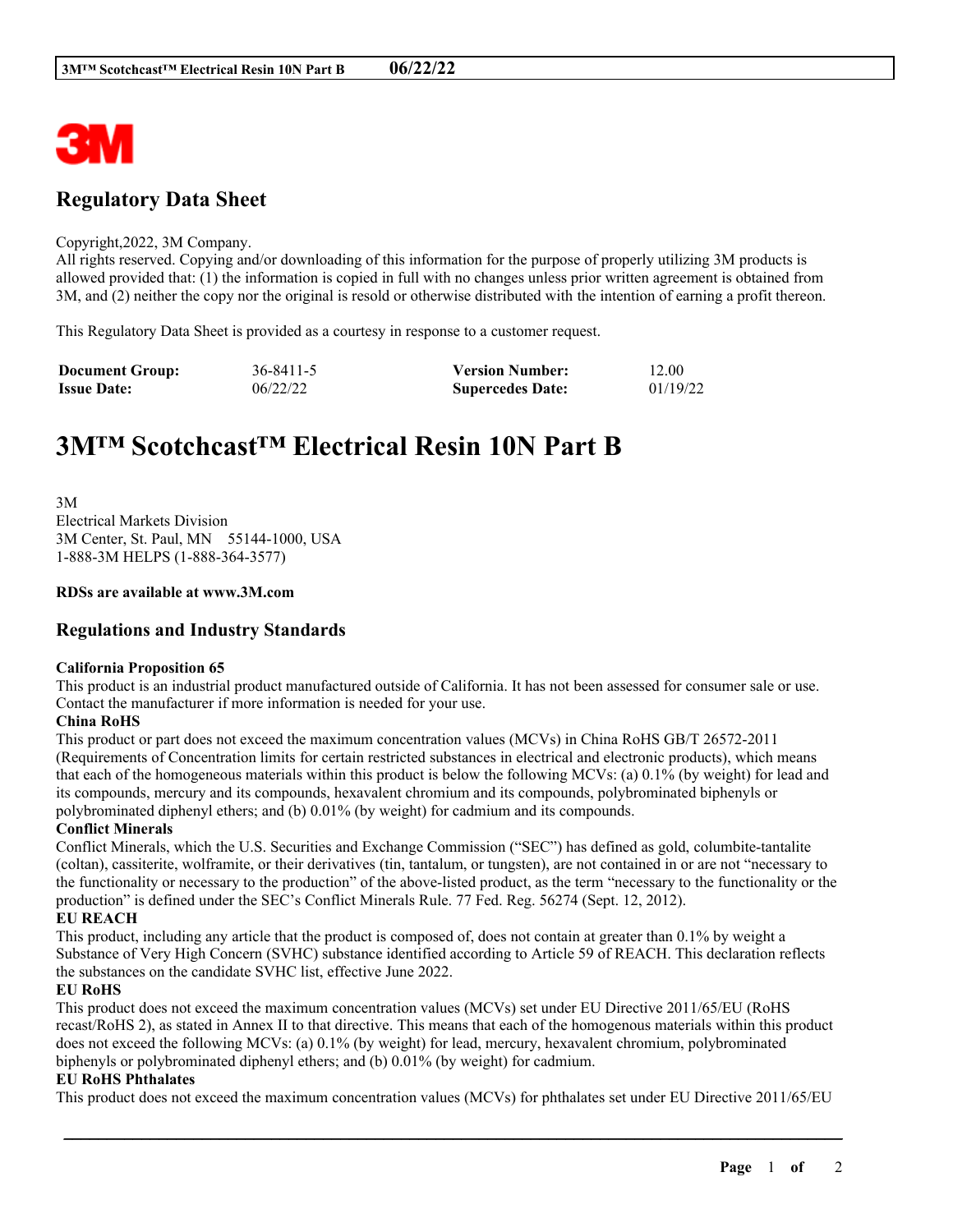

# **Regulatory Data Sheet**

#### Copyright,2022, 3M Company.

All rights reserved. Copying and/or downloading of this information for the purpose of properly utilizing 3M products is allowed provided that: (1) the information is copied in full with no changes unless prior written agreement is obtained from 3M, and (2) neither the copy nor the original is resold or otherwise distributed with the intention of earning a profit thereon.

This Regulatory Data Sheet is provided as a courtesy in response to a customer request.

| <b>Document Group:</b> | 36-8411-5 | <b>Version Number:</b>  | 12.00    |
|------------------------|-----------|-------------------------|----------|
| <b>Issue Date:</b>     | 06/22/22  | <b>Supercedes Date:</b> | 01/19/22 |

# **3M™ Scotchcast™ Electrical Resin 10N Part B**

3M Electrical Markets Division 3M Center, St. Paul, MN 55144-1000, USA 1-888-3M HELPS (1-888-364-3577)

#### **RDSs are available at www.3M.com**

## **Regulations and Industry Standards**

#### **California Proposition 65**

This product is an industrial product manufactured outside of California. It has not been assessed for consumer sale or use. Contact the manufacturer if more information is needed for your use.

#### **China RoHS**

This product or part does not exceed the maximum concentration values (MCVs) in China RoHS GB/T 26572-2011 (Requirements of Concentration limits for certain restricted substances in electrical and electronic products), which means that each of the homogeneous materials within this product is below the following MCVs: (a) 0.1% (by weight) for lead and its compounds, mercury and its compounds, hexavalent chromium and its compounds, polybrominated biphenyls or polybrominated diphenyl ethers; and (b) 0.01% (by weight) for cadmium and its compounds.

#### **Conflict Minerals**

Conflict Minerals, which the U.S. Securities and Exchange Commission ("SEC") has defined as gold, columbite-tantalite (coltan), cassiterite, wolframite, or their derivatives (tin, tantalum, or tungsten), are not contained in or are not "necessary to the functionality or necessary to the production" of the above-listed product, as the term "necessary to the functionality or the production" is defined under the SEC's Conflict Minerals Rule. 77 Fed. Reg. 56274 (Sept. 12, 2012).

## **EU REACH**

This product, including any article that the product is composed of, does not contain at greater than 0.1% by weight a Substance of Very High Concern (SVHC) substance identified according to Article 59 of REACH. This declaration reflects the substances on the candidate SVHC list, effective June 2022.

#### **EU RoHS**

This product does not exceed the maximum concentration values (MCVs) set under EU Directive 2011/65/EU (RoHS recast/RoHS 2), as stated in Annex II to that directive. This means that each of the homogenous materials within this product does not exceed the following MCVs: (a) 0.1% (by weight) for lead, mercury, hexavalent chromium, polybrominated biphenyls or polybrominated diphenyl ethers; and (b) 0.01% (by weight) for cadmium.

#### **EU RoHS Phthalates**

This product does not exceed the maximum concentration values (MCVs) for phthalates set under EU Directive 2011/65/EU

\_\_\_\_\_\_\_\_\_\_\_\_\_\_\_\_\_\_\_\_\_\_\_\_\_\_\_\_\_\_\_\_\_\_\_\_\_\_\_\_\_\_\_\_\_\_\_\_\_\_\_\_\_\_\_\_\_\_\_\_\_\_\_\_\_\_\_\_\_\_\_\_\_\_\_\_\_\_\_\_\_\_\_\_\_\_\_\_\_\_